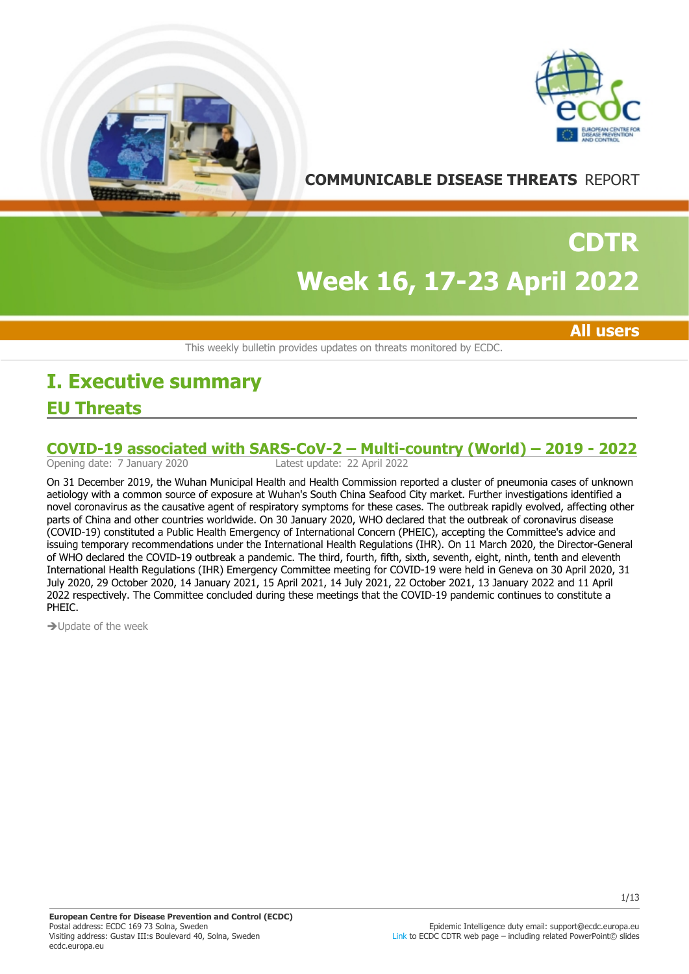



## **COMMUNICABLE DISEASE THREATS** REPORT

# **Week 16, 17-23 April 2022 CDTR**

**All users**

This weekly bulletin provides updates on threats monitored by ECDC.

## **EU Threats I. Executive summary**

# **COVID-19 associated with SARS-CoV-2 – Multi-country (World) – 2019 - 2022**<br>Opening date: 7 January 2020<br>Latest update: 22 April 2022

Latest update: 22 April 2022

On 31 December 2019, the Wuhan Municipal Health and Health Commission reported a cluster of pneumonia cases of unknown aetiology with a common source of exposure at Wuhan's South China Seafood City market. Further investigations identified a novel coronavirus as the causative agent of respiratory symptoms for these cases. The outbreak rapidly evolved, affecting other parts of China and other countries worldwide. On 30 January 2020, WHO declared that the outbreak of coronavirus disease (COVID-19) constituted a Public Health Emergency of International Concern (PHEIC), accepting the Committee's advice and issuing temporary recommendations under the International Health Regulations (IHR). On 11 March 2020, the Director-General of WHO declared the COVID-19 outbreak a pandemic. The third, fourth, fifth, sixth, seventh, eight, ninth, tenth and eleventh International Health Regulations (IHR) Emergency Committee meeting for COVID-19 were held in Geneva on 30 April 2020, 31 July 2020, 29 October 2020, 14 January 2021, 15 April 2021, 14 July 2021, 22 October 2021, 13 January 2022 and 11 April 2022 respectively. The Committee concluded during these meetings that the COVID-19 pandemic continues to constitute a PHEIC.

 $\rightarrow$  Update of the week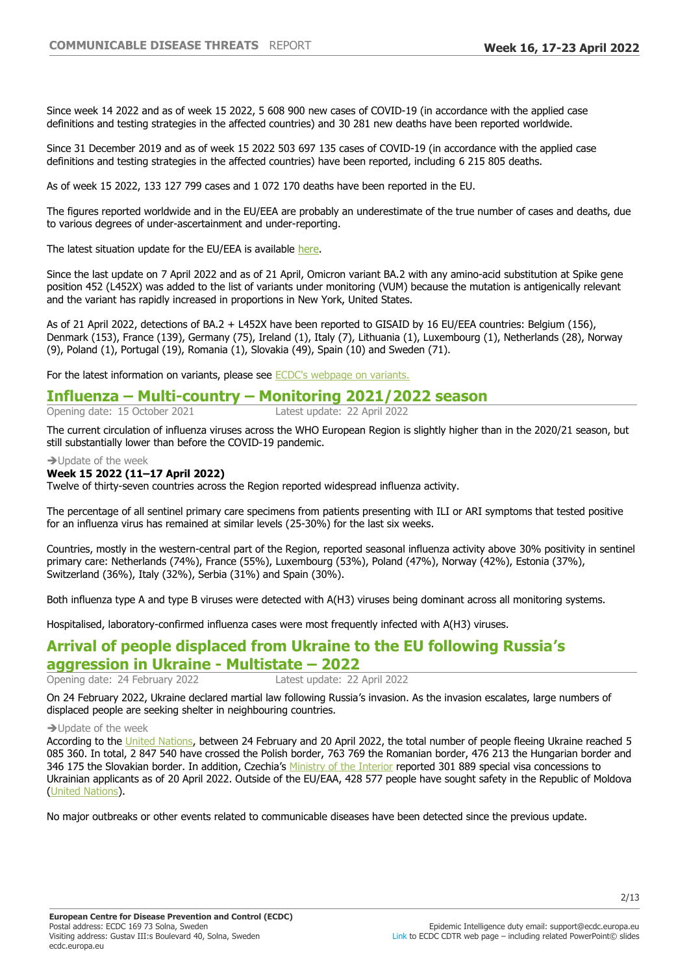Since week 14 2022 and as of week 15 2022, 5 608 900 new cases of COVID-19 (in accordance with the applied case definitions and testing strategies in the affected countries) and 30 281 new deaths have been reported worldwide.

Since 31 December 2019 and as of week 15 2022 503 697 135 cases of COVID-19 (in accordance with the applied case definitions and testing strategies in the affected countries) have been reported, including 6 215 805 deaths.

As of week 15 2022, 133 127 799 cases and 1 072 170 deaths have been reported in the EU.

The figures reported worldwide and in the EU/EEA are probably an underestimate of the true number of cases and deaths, due to various degrees of under-ascertainment and under-reporting.

The latest situation update for the EU/EEA is available [here.](https://www.ecdc.europa.eu/en/cases-2019-ncov-eueea)

Since the last update on 7 April 2022 and as of 21 April, Omicron variant BA.2 with any amino-acid substitution at Spike gene position 452 (L452X) was added to the list of variants under monitoring (VUM) because the mutation is antigenically relevant and the variant has rapidly increased in proportions in New York, United States.

As of 21 April 2022, detections of BA.2 + L452X have been reported to GISAID by 16 EU/EEA countries: Belgium (156), Denmark (153), France (139), Germany (75), Ireland (1), Italy (7), Lithuania (1), Luxembourg (1), Netherlands (28), Norway (9), Poland (1), Portugal (19), Romania (1), Slovakia (49), Spain (10) and Sweden (71).

For the latest information on variants, please see **ECDC's webpage on variants**.

# **Influenza ±Multi-country ±Monitoring 2021/2022 season**

Opening date: 15 October 2021

The current circulation of influenza viruses across the WHO European Region is slightly higher than in the 2020/21 season, but still substantially lower than before the COVID-19 pandemic.

 $\rightarrow$  Update of the week

#### **Week 15 2022 (11±17 April 2022)**

Twelve of thirty-seven countries across the Region reported widespread influenza activity.

The percentage of all sentinel primary care specimens from patients presenting with ILI or ARI symptoms that tested positive for an influenza virus has remained at similar levels (25-30%) for the last six weeks.

Countries, mostly in the western-central part of the Region, reported seasonal influenza activity above 30% positivity in sentinel primary care: Netherlands (74%), France (55%), Luxembourg (53%), Poland (47%), Norway (42%), Estonia (37%), Switzerland (36%), Italy (32%), Serbia (31%) and Spain (30%).

Both influenza type A and type B viruses were detected with A(H3) viruses being dominant across all monitoring systems.

Hospitalised, laboratory-confirmed influenza cases were most frequently infected with A(H3) viruses.

## **Arrival of people displaced from Ukraine to the EU following Russia¶s**

#### **aggression in Ukraine - Multistate - 2022**

Opening date: 24 February 2022 Latest update: 22 April 2022

On 24 February 2022, Ukraine declared martial law following Russia's invasion. As the invasion escalates, large numbers of displaced people are seeking shelter in neighbouring countries.

 $\rightarrow$  Update of the week

According to the [United Nations,](http://data2.unhcr.org/en/situations/ukraine) between 24 February and 20 April 2022, the total number of people fleeing Ukraine reached 5 085 360. In total, 2 847 540 have crossed the Polish border, 763 769 the Romanian border, 476 213 the Hungarian border and 346 175 the Slovakian border. In addition, Czechia's [Ministry of the Interior](https://twitter.com/vnitro/status/1517036368932786179) reported 301 889 special visa concessions to Ukrainian applicants as of 20 April 2022. Outside of the EU/EAA, 428 577 people have sought safety in the Republic of Moldova ([United Nations](http://data2.unhcr.org/en/situations/ukraine)).

No major outbreaks or other events related to communicable diseases have been detected since the previous update.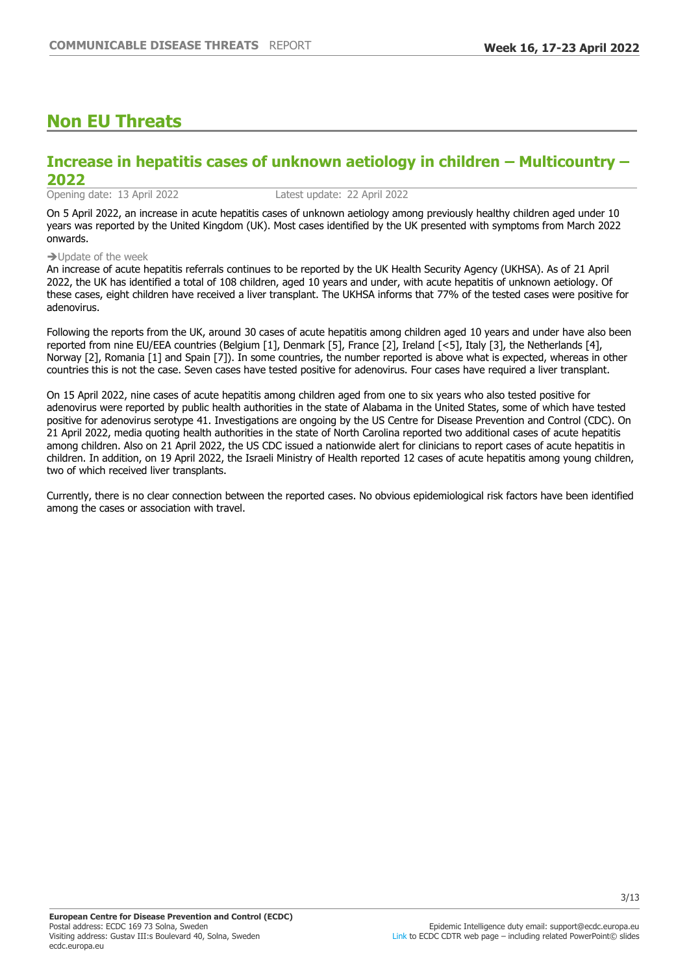## **Non EU Threats**

## **Increase in hepatitis cases of unknown aetiology in children ±Multicountry ±** 2022<br>Opening date: 13 April 2022

Latest update: 22 April 2022

On 5 April 2022, an increase in acute hepatitis cases of unknown aetiology among previously healthy children aged under 10 years was reported by the United Kingdom (UK). Most cases identified by the UK presented with symptoms from March 2022 onwards.

 $\rightarrow$  Update of the week

An increase of acute hepatitis referrals continues to be reported by the UK Health Security Agency (UKHSA). As of 21 April 2022, the UK has identified a total of 108 children, aged 10 years and under, with acute hepatitis of unknown aetiology. Of these cases, eight children have received a liver transplant. The UKHSA informs that 77% of the tested cases were positive for adenovirus.

Following the reports from the UK, around 30 cases of acute hepatitis among children aged 10 years and under have also been reported from nine EU/EEA countries (Belgium [1], Denmark [5], France [2], Ireland [<5], Italy [3], the Netherlands [4], Norway [2], Romania [1] and Spain [7]). In some countries, the number reported is above what is expected, whereas in other countries this is not the case. Seven cases have tested positive for adenovirus. Four cases have required a liver transplant.

On 15 April 2022, nine cases of acute hepatitis among children aged from one to six years who also tested positive for adenovirus were reported by public health authorities in the state of Alabama in the United States, some of which have tested positive for adenovirus serotype 41. Investigations are ongoing by the US Centre for Disease Prevention and Control (CDC). On 21 April 2022, media quoting health authorities in the state of North Carolina reported two additional cases of acute hepatitis among children. Also on 21 April 2022, the US CDC issued a nationwide alert for clinicians to report cases of acute hepatitis in children. In addition, on 19 April 2022, the Israeli Ministry of Health reported 12 cases of acute hepatitis among young children, two of which received liver transplants.

Currently, there is no clear connection between the reported cases. No obvious epidemiological risk factors have been identified among the cases or association with travel.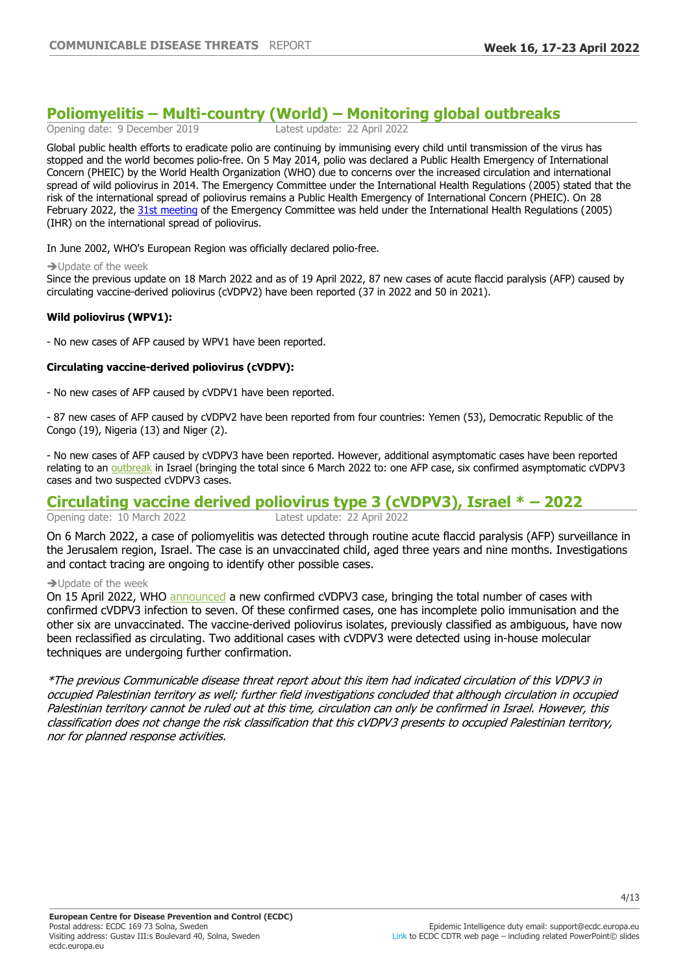# **Poliomyelitis ±Multi-country (World) ±Monitoring global outbreaks**

Opening date: 9 December 2019

Global public health efforts to eradicate polio are continuing by immunising every child until transmission of the virus has stopped and the world becomes polio-free. On 5 May 2014, polio was declared a Public Health Emergency of International Concern (PHEIC) by the World Health Organization (WHO) due to concerns over the increased circulation and international spread of wild poliovirus in 2014. The Emergency Committee under the International Health Regulations (2005) stated that the risk of the international spread of poliovirus remains a Public Health Emergency of International Concern (PHEIC). On 28 February 2022, the [31st meeting](https://www.who.int/news/item/11-03-2022-statement-of-the-thirty-first-polio-ihr-emergency-committee) of the Emergency Committee was held under the International Health Regulations (2005) (IHR) on the international spread of poliovirus.

In June 2002, WHO's European Region was officially declared polio-free.

#### $\rightarrow$  Update of the week

Since the previous update on 18 March 2022 and as of 19 April 2022, 87 new cases of acute flaccid paralysis (AFP) caused by circulating vaccine-derived poliovirus (cVDPV2) have been reported (37 in 2022 and 50 in 2021).

#### **Wild poliovirus (WPV1):**

- No new cases of AFP caused by WPV1 have been reported.

#### **Circulating vaccine-derived poliovirus (cVDPV):**

- No new cases of AFP caused by cVDPV1 have been reported.

- 87 new cases of AFP caused by cVDPV2 have been reported from four countries: Yemen (53), Democratic Republic of the Congo (19), Nigeria (13) and Niger (2).

- No new cases of AFP caused by cVDPV3 have been reported. However, additional asymptomatic cases have been reported relating to an [outbreak](https://www.who.int/emergencies/disease-outbreak-news/item/circulating-vaccine-derived-poliovirus-type-3---israel#:~:text=WHO%20was%20notified%20on%207,unvaccinated%20child%20from%20Jerusalem%20city.) in Israel (bringing the total since 6 March 2022 to: one AFP case, six confirmed asymptomatic cVDPV3 cases and two suspected cVDPV3 cases.

## **Circulating vaccine derived poliovirus type 3 (cVDPV3), Israel \* ±**

Opening date: 10 March 2022 Latest update: 22 April 2022

On 6 March 2022, a case of poliomyelitis was detected through routine acute flaccid paralysis (AFP) surveillance in the Jerusalem region, Israel. The case is an unvaccinated child, aged three years and nine months. Investigations and contact tracing are ongoing to identify other possible cases.

#### $\rightarrow$  Update of the week

On 15 April 2022, WHO [announced](https://www.who.int/emergencies/disease-outbreak-news/item/circulating-vaccine-derived-poliovirus-type-3---israel) a new confirmed cVDPV3 case, bringing the total number of cases with confirmed cVDPV3 infection to seven. Of these confirmed cases, one has incomplete polio immunisation and the other six are unvaccinated. The vaccine-derived poliovirus isolates, previously classified as ambiguous, have now been reclassified as circulating. Two additional cases with cVDPV3 were detected using in-house molecular techniques are undergoing further confirmation.

\*The previous Communicable disease threat report about this item had indicated circulation of this VDPV3 in occupied Palestinian territory as well; further field investigations concluded that although circulation in occupied Palestinian territory cannot be ruled out at this time, circulation can only be confirmed in Israel. However, this classification does not change the risk classification that this cVDPV3 presents to occupied Palestinian territory, nor for planned response activities.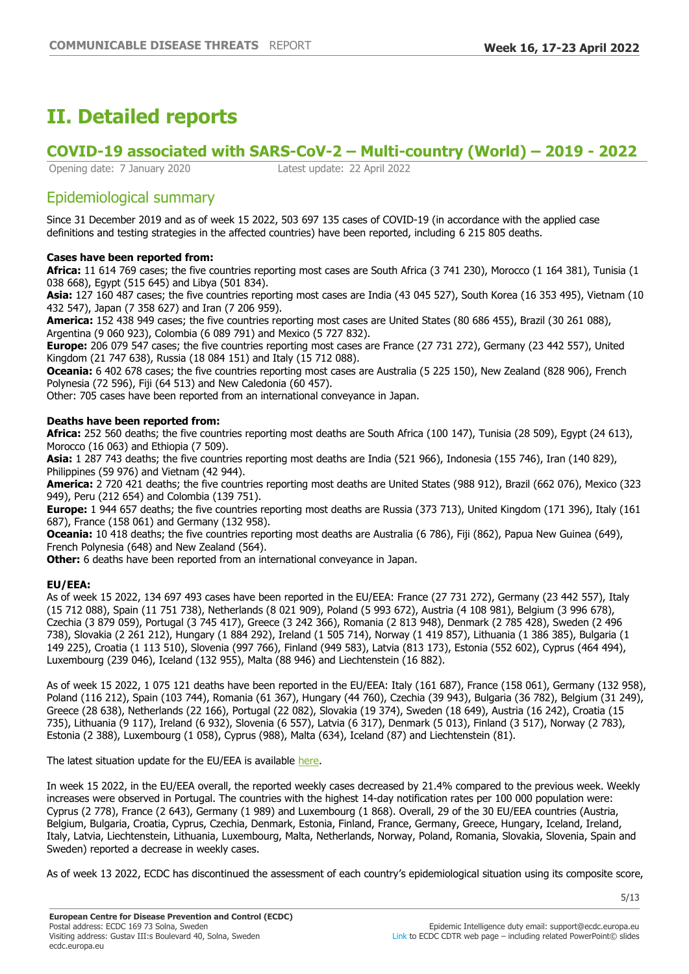## **II. Detailed reports**

## **COVID-19 associated with SARS-CoV-2 ±Multi-country (World) ±**

Opening date: 7 January 2020 Latest update: 22 April 2022

## Epidemiological summary

Since 31 December 2019 and as of week 15 2022, 503 697 135 cases of COVID-19 (in accordance with the applied case definitions and testing strategies in the affected countries) have been reported, including 6 215 805 deaths.

#### **Cases have been reported from:**

**Africa:** 11 614 769 cases; the five countries reporting most cases are South Africa (3 741 230), Morocco (1 164 381), Tunisia (1 038 668), Egypt (515 645) and Libya (501 834).

**Asia:** 127 160 487 cases; the five countries reporting most cases are India (43 045 527), South Korea (16 353 495), Vietnam (10 432 547), Japan (7 358 627) and Iran (7 206 959).

**America:** 152 438 949 cases; the five countries reporting most cases are United States (80 686 455), Brazil (30 261 088), Argentina (9 060 923), Colombia (6 089 791) and Mexico (5 727 832).

**Europe:** 206 079 547 cases; the five countries reporting most cases are France (27 731 272), Germany (23 442 557), United Kingdom (21 747 638), Russia (18 084 151) and Italy (15 712 088).

**Oceania:** 6 402 678 cases; the five countries reporting most cases are Australia (5 225 150), New Zealand (828 906), French Polynesia (72 596), Fiji (64 513) and New Caledonia (60 457).

Other: 705 cases have been reported from an international conveyance in Japan.

#### **Deaths have been reported from:**

**Africa:** 252 560 deaths; the five countries reporting most deaths are South Africa (100 147), Tunisia (28 509), Egypt (24 613), Morocco (16 063) and Ethiopia (7 509).

**Asia:** 1 287 743 deaths; the five countries reporting most deaths are India (521 966), Indonesia (155 746), Iran (140 829), Philippines (59 976) and Vietnam (42 944).

**America:** 2 720 421 deaths; the five countries reporting most deaths are United States (988 912), Brazil (662 076), Mexico (323 949), Peru (212 654) and Colombia (139 751).

**Europe:** 1 944 657 deaths; the five countries reporting most deaths are Russia (373 713), United Kingdom (171 396), Italy (161 687), France (158 061) and Germany (132 958).

**Oceania:** 10 418 deaths; the five countries reporting most deaths are Australia (6 786), Fiji (862), Papua New Guinea (649), French Polynesia (648) and New Zealand (564).

**Other:** 6 deaths have been reported from an international conveyance in Japan.

#### **EU/EEA:**

As of week 15 2022, 134 697 493 cases have been reported in the EU/EEA: France (27 731 272), Germany (23 442 557), Italy (15 712 088), Spain (11 751 738), Netherlands (8 021 909), Poland (5 993 672), Austria (4 108 981), Belgium (3 996 678), Czechia (3 879 059), Portugal (3 745 417), Greece (3 242 366), Romania (2 813 948), Denmark (2 785 428), Sweden (2 496 738), Slovakia (2 261 212), Hungary (1 884 292), Ireland (1 505 714), Norway (1 419 857), Lithuania (1 386 385), Bulgaria (1 149 225), Croatia (1 113 510), Slovenia (997 766), Finland (949 583), Latvia (813 173), Estonia (552 602), Cyprus (464 494), Luxembourg (239 046), Iceland (132 955), Malta (88 946) and Liechtenstein (16 882).

As of week 15 2022, 1 075 121 deaths have been reported in the EU/EEA: Italy (161 687), France (158 061), Germany (132 958), Poland (116 212), Spain (103 744), Romania (61 367), Hungary (44 760), Czechia (39 943), Bulgaria (36 782), Belgium (31 249), Greece (28 638), Netherlands (22 166), Portugal (22 082), Slovakia (19 374), Sweden (18 649), Austria (16 242), Croatia (15 735), Lithuania (9 117), Ireland (6 932), Slovenia (6 557), Latvia (6 317), Denmark (5 013), Finland (3 517), Norway (2 783), Estonia (2 388), Luxembourg (1 058), Cyprus (988), Malta (634), Iceland (87) and Liechtenstein (81).

The latest situation update for the EU/EEA is available [here.](https://www.ecdc.europa.eu/en/cases-2019-ncov-eueea)

In week 15 2022, in the EU/EEA overall, the reported weekly cases decreased by 21.4% compared to the previous week. Weekly increases were observed in Portugal. The countries with the highest 14-day notification rates per 100 000 population were: Cyprus (2 778), France (2 643), Germany (1 989) and Luxembourg (1 868). Overall, 29 of the 30 EU/EEA countries (Austria, Belgium, Bulgaria, Croatia, Cyprus, Czechia, Denmark, Estonia, Finland, France, Germany, Greece, Hungary, Iceland, Ireland, Italy, Latvia, Liechtenstein, Lithuania, Luxembourg, Malta, Netherlands, Norway, Poland, Romania, Slovakia, Slovenia, Spain and Sweden) reported a decrease in weekly cases.

As of week 13 2022, ECDC has discontinued the assessment of each country's epidemiological situation using its composite score,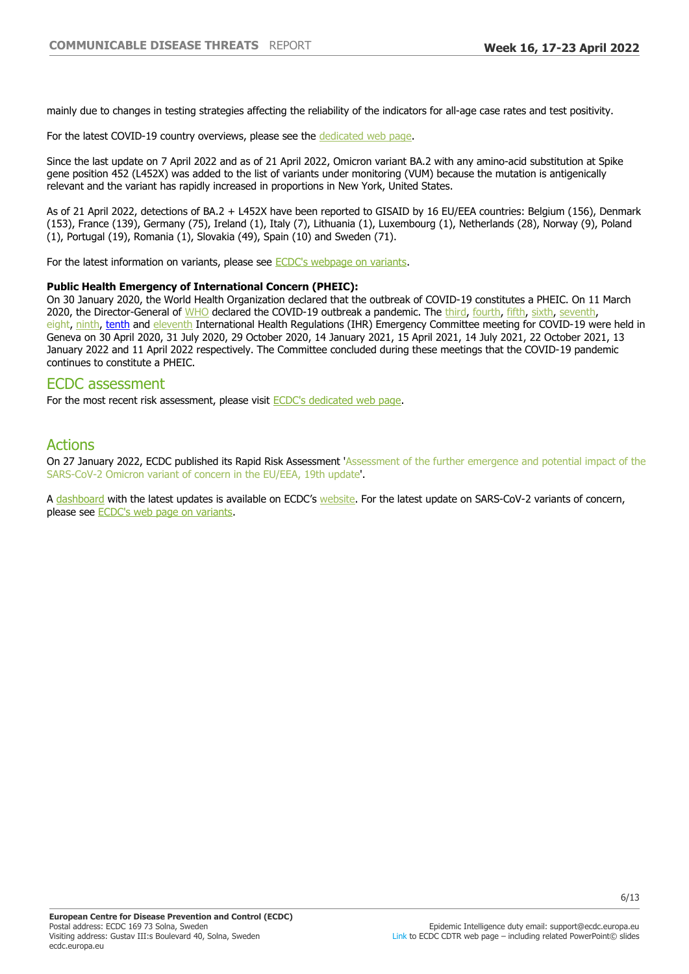mainly due to changes in testing strategies affecting the reliability of the indicators for all-age case rates and test positivity.

For the latest COVID-19 country overviews, please see the [dedicated web page.](https://covid19-country-overviews.ecdc.europa.eu/)

Since the last update on 7 April 2022 and as of 21 April 2022, Omicron variant BA.2 with any amino-acid substitution at Spike gene position 452 (L452X) was added to the list of variants under monitoring (VUM) because the mutation is antigenically relevant and the variant has rapidly increased in proportions in New York, United States.

As of 21 April 2022, detections of BA.2 + L452X have been reported to GISAID by 16 EU/EEA countries: Belgium (156), Denmark (153), France (139), Germany (75), Ireland (1), Italy (7), Lithuania (1), Luxembourg (1), Netherlands (28), Norway (9), Poland (1), Portugal (19), Romania (1), Slovakia (49), Spain (10) and Sweden (71).

For the latest information on variants, please see [ECDC's webpage on variants.](https://www.ecdc.europa.eu/en/covid-19/variants-concern)

#### **Public Health Emergency of International Concern (PHEIC):**

On 30 January 2020, the World Health Organization declared that the outbreak of COVID-19 constitutes a PHEIC. On 11 March 2020, the Director-General of [WHO](https://www.who.int/director-general/speeches/detail/who-director-general-s-opening-remarks-at-the-media-briefing-on-covid-19---11-march-2020) declared the COVID-19 outbreak a pandemic. The [third](https://www.who.int/news-room/detail/01-05-2020-statement-on-the-third-meeting-of-the-international-health-regulations-(2005)-emergency-committee-regarding-the-outbreak-of-coronavirus-disease-(covid-19)), [fourth,](https://www.who.int/news-room/detail/01-08-2020-statement-on-the-fourth-meeting-of-the-international-health-regulations-(2005)-emergency-committee-regarding-the-outbreak-of-coronavirus-disease-(covid-19)) [fifth](https://www.who.int/news/item/30-10-2020-statement-on-the-fifth-meeting-of-the-international-health-regulations-(2005)-emergency-committee-regarding-the-coronavirus-disease-(covid-19)-pandemic), [sixth](https://www.who.int/news/item/15-01-2021-statement-on-the-sixth-meeting-of-the-international-health-regulations-(2005)-emergency-committee-regarding-the-coronavirus-disease-(covid-19)-pandemic), [seventh,](https://www.who.int/news/item/19-04-2021-statement-on-the-seventh-meeting-of-the-international-health-regulations-(2005)-emergency-committee-regarding-the-coronavirus-disease-(covid-19)-pandemic) eight, [ninth,](https://www.who.int/news/item/26-10-2021-statement-on-the-ninth-meeting-of-the-international-health-regulations-(2005)-emergency-committee-regarding-the-coronavirus-disease-(covid-19)-pandemic) [tenth](https://www.who.int/news/item/19-01-2022-statement-on-the-tenth-meeting-of-the-international-health-regulations-(2005)-emergency-committee-regarding-the-coronavirus-disease-(covid-19)-pandemic#:~:text=The%20tenth%20meeting%20of%20the%20Emergency%20Committee%20convened%20by%20the,00%20Geneva%20time%20(CEST).) and [eleventh](https://www.who.int/news/item/13-04-2022-statement-on-the-eleventh-meeting-of-the-international-health-regulations-(2005)-emergency-committee-regarding-the-coronavirus-disease-(covid-19)-pandemic) International Health Regulations (IHR) Emergency Committee meeting for COVID-19 were held in Geneva on 30 April 2020, 31 July 2020, 29 October 2020, 14 January 2021, 15 April 2021, 14 July 2021, 22 October 2021, 13 January 2022 and 11 April 2022 respectively. The Committee concluded during these meetings that the COVID-19 pandemic continues to constitute a PHEIC.

#### ECDC assessment

For the most recent risk assessment, please visit [ECDC's dedicated web page.](https://www.ecdc.europa.eu/en/current-risk-assessment-novel-coronavirus-situation)

### Actions

On 27 January 2022, ECDC published its Rapid Risk Assessment 'Assessment of the further emergence and potential impact of the SARS-CoV-2 Omicron variant of concern in the EU/EEA, 19th update'.

A [dashboard](https://vaccinetracker.ecdc.europa.eu/public/extensions/COVID-19/covid-19.html) with the latest updates is available on ECDC's [website.](https://www.ecdc.europa.eu/en) For the latest update on SARS-CoV-2 variants of concern, please see [ECDC's web page on variants](https://www.ecdc.europa.eu/en/covid-19/variants-concern).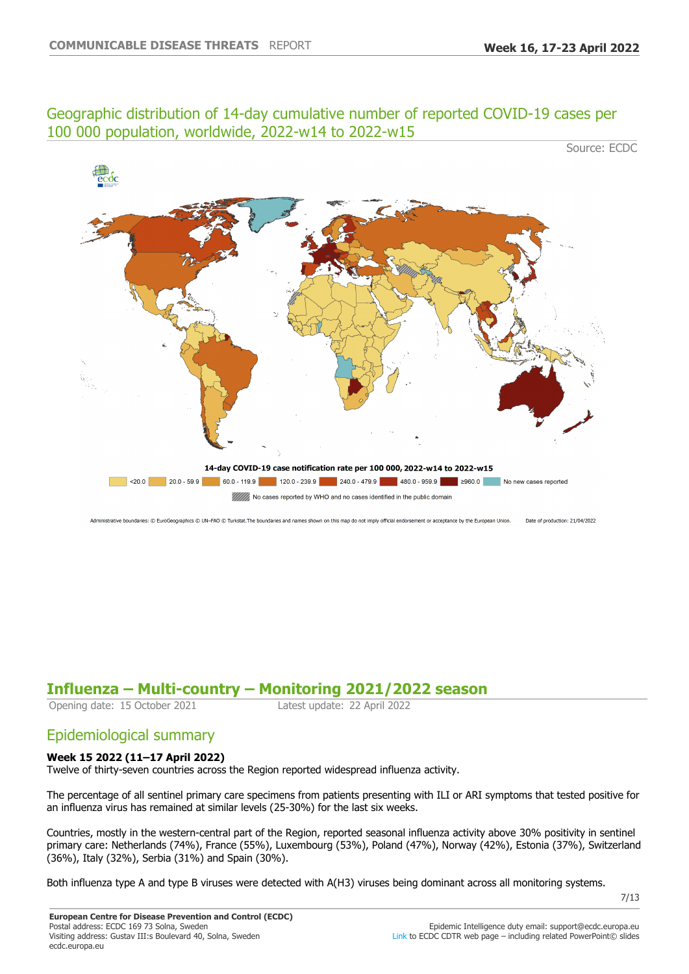## Geographic distribution of 14-day cumulative number of reported COVID-19 cases per 100 000 population, worldwide, 2022-w14 to 2022-w15

Source: ECDC



Administrative boundaries: © EuroGeographics © UN-FAO © Turkstat. The boundaries and names shown on this map do not imply official endorsement or acceptance by the European Union. Date of production: 21/04/2022

## **Influenza ±Multi-country ±Monitoring 2021/2022 season**

Opening date: 15 October 2021 Latest update: 22 April 2022

## Epidemiological summary

#### **Week 15 2022 (11±17 April 2022)**

Twelve of thirty-seven countries across the Region reported widespread influenza activity.

The percentage of all sentinel primary care specimens from patients presenting with ILI or ARI symptoms that tested positive for an influenza virus has remained at similar levels (25-30%) for the last six weeks.

Countries, mostly in the western-central part of the Region, reported seasonal influenza activity above 30% positivity in sentinel primary care: Netherlands (74%), France (55%), Luxembourg (53%), Poland (47%), Norway (42%), Estonia (37%), Switzerland (36%), Italy (32%), Serbia (31%) and Spain (30%).

Both influenza type A and type B viruses were detected with A(H3) viruses being dominant across all monitoring systems.

7/13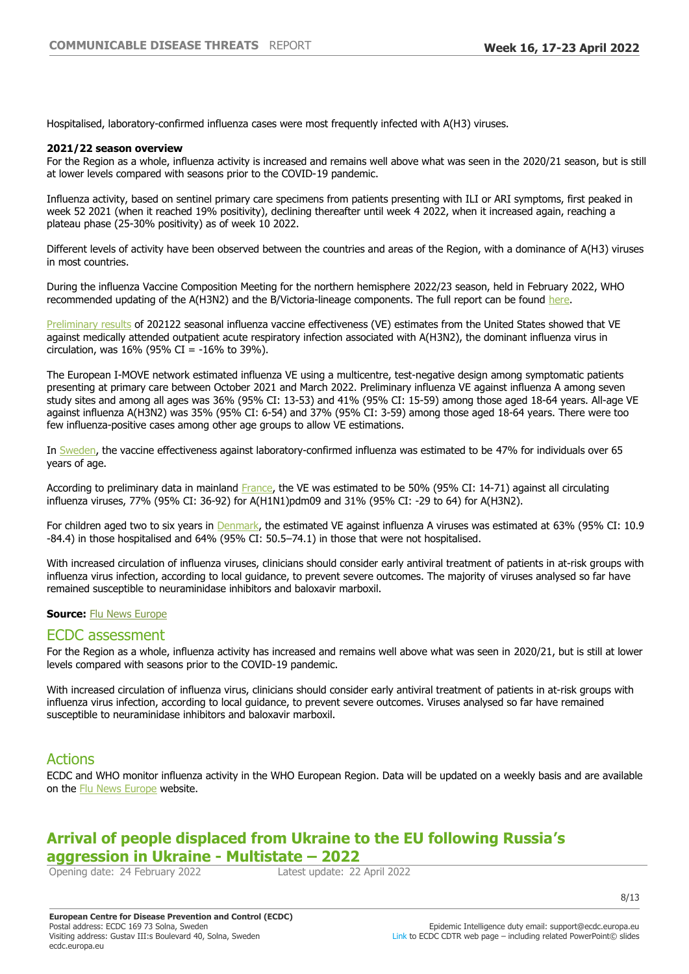Hospitalised, laboratory-confirmed influenza cases were most frequently infected with A(H3) viruses.

#### **2021/22 season overview**

For the Region as a whole, influenza activity is increased and remains well above what was seen in the 2020/21 season, but is still at lower levels compared with seasons prior to the COVID-19 pandemic.

Influenza activity, based on sentinel primary care specimens from patients presenting with ILI or ARI symptoms, first peaked in week 52 2021 (when it reached 19% positivity), declining thereafter until week 4 2022, when it increased again, reaching a plateau phase (25-30% positivity) as of week 10 2022.

Different levels of activity have been observed between the countries and areas of the Region, with a dominance of A(H3) viruses in most countries.

During the influenza Vaccine Composition Meeting for the northern hemisphere 2022/23 season, held in February 2022, WHO recommended updating of the A(H3N2) and the B/Victoria-lineage components. The full report can be found [here](https://eur02.safelinks.protection.outlook.com/?url=https%3A%2F%2Fwww.who.int%2Fnews%2Fitem%2F25-02-2022-recommendations-announced-for-influenza-vaccine-composition-for-the-2022-2023-northern-hemisphere-influenza-season&data=05%7C01%7Csupport%40ecdc.europa.eu%7C4b66053596c54f66701f08da23a739d5%7C6ad73702409c4046ae59cc4bea334507%7C0%7C0%7C637861498377422039%7CUnknown%7CTWFpbGZsb3d8eyJWIjoiMC4wLjAwMDAiLCJQIjoiV2luMzIiLCJBTiI6Ik1haWwiLCJXVCI6Mn0%3D%7C3000%7C%7C%7C&sdata=RSKOlakesj0y%2F8%2BILO%2F6k%2FSdCWLZd7qkHu%2FhP4haGg8%3D&reserved=0).

[Preliminary results](https://eur02.safelinks.protection.outlook.com/?url=https%3A%2F%2Fwww.cdc.gov%2Fmmwr%2Fvolumes%2F71%2Fwr%2Fpdfs%2Fmm7110a1-H.pdf&data=05%7C01%7Csupport%40ecdc.europa.eu%7C4b66053596c54f66701f08da23a739d5%7C6ad73702409c4046ae59cc4bea334507%7C0%7C0%7C637861498377422039%7CUnknown%7CTWFpbGZsb3d8eyJWIjoiMC4wLjAwMDAiLCJQIjoiV2luMzIiLCJBTiI6Ik1haWwiLCJXVCI6Mn0%3D%7C3000%7C%7C%7C&sdata=XvjhrEizidTnxwsUrlKZojQPNe%2Btp1tU892UcYJBDlE%3D&reserved=0) of 202122 seasonal influenza vaccine effectiveness (VE) estimates from the United States showed that VE against medically attended outpatient acute respiratory infection associated with A(H3N2), the dominant influenza virus in circulation, was  $16\%$  (95% CI = -16% to 39%).

The European I-MOVE network estimated influenza VE using a multicentre, test-negative design among symptomatic patients presenting at primary care between October 2021 and March 2022. Preliminary influenza VE against influenza A among seven study sites and among all ages was 36% (95% CI: 13-53) and 41% (95% CI: 15-59) among those aged 18-64 years. All-age VE against influenza A(H3N2) was 35% (95% CI: 6-54) and 37% (95% CI: 3-59) among those aged 18-64 years. There were too few influenza-positive cases among other age groups to allow VE estimations.

In [Sweden,](https://eur02.safelinks.protection.outlook.com/?url=https%3A%2F%2Fvardgivarguiden.se%2Fglobalassets%2Fkunskapsstod%2Fsmittskydd%2Fstatistik%2Finfluensa%2Finfluensasasongen-2021-2022.pdf&data=05%7C01%7Csupport%40ecdc.europa.eu%7C4b66053596c54f66701f08da23a739d5%7C6ad73702409c4046ae59cc4bea334507%7C0%7C0%7C637861498377422039%7CUnknown%7CTWFpbGZsb3d8eyJWIjoiMC4wLjAwMDAiLCJQIjoiV2luMzIiLCJBTiI6Ik1haWwiLCJXVCI6Mn0%3D%7C3000%7C%7C%7C&sdata=%2FOI3CUqzlzcYqNglx6rNNSQu2FmdsarVTH2WxoAJt4Y%3D&reserved=0) the vaccine effectiveness against laboratory-confirmed influenza was estimated to be 47% for individuals over 65 years of age.

According to preliminary data in mainland [France,](https://eur02.safelinks.protection.outlook.com/?url=https%3A%2F%2Fwww.santepubliquefrance.fr%2Fmaladies-et-traumatismes%2Fmaladies-et-infections-respiratoires%2Fgrippe%2Fdocuments%2Fbulletin-national%2Fbulletin-epidemiologique-grippe-semaine-11.-saison-2021-2022&data=05%7C01%7Csupport%40ecdc.europa.eu%7C4b66053596c54f66701f08da23a739d5%7C6ad73702409c4046ae59cc4bea334507%7C0%7C0%7C637861498377422039%7CUnknown%7CTWFpbGZsb3d8eyJWIjoiMC4wLjAwMDAiLCJQIjoiV2luMzIiLCJBTiI6Ik1haWwiLCJXVCI6Mn0%3D%7C3000%7C%7C%7C&sdata=4c4R7a7mdJrcAzEWi3po5uSWv7UMaHPCs6I%2F%2Fr7o1Xc%3D&reserved=0) the VE was estimated to be 50% (95% CI: 14-71) against all circulating influenza viruses, 77% (95% CI: 36-92) for A(H1N1)pdm09 and 31% (95% CI: -29 to 64) for A(H3N2).

For children aged two to six years in [Denmark,](https://eur02.safelinks.protection.outlook.com/?url=https%3A%2F%2Fwww.eurosurveillance.org%2Fcontent%2F10.2807%2F1560-7917.ES.2022.27.15.2200278%3Femailalert%3Dtrue&data=05%7C01%7Csupport%40ecdc.europa.eu%7C4b66053596c54f66701f08da23a739d5%7C6ad73702409c4046ae59cc4bea334507%7C0%7C0%7C637861498377422039%7CUnknown%7CTWFpbGZsb3d8eyJWIjoiMC4wLjAwMDAiLCJQIjoiV2luMzIiLCJBTiI6Ik1haWwiLCJXVCI6Mn0%3D%7C3000%7C%7C%7C&sdata=nvVi9U3e7XN4edD7ZPUa29c1%2BGs0C3OlAMqsQRQwpA8%3D&reserved=0) the estimated VE against influenza A viruses was estimated at 63% (95% CI: 10.9 -84.4) in those hospitalised and 64% (95% CI: 50.5-74.1) in those that were not hospitalised.

With increased circulation of influenza viruses, clinicians should consider early antiviral treatment of patients in at-risk groups with influenza virus infection, according to local guidance, to prevent severe outcomes. The majority of viruses analysed so far have remained susceptible to neuraminidase inhibitors and baloxavir marboxil.

#### **Source: [Flu News Europe](https://flunewseurope.org/)**

#### ECDC assessment

For the Region as a whole, influenza activity has increased and remains well above what was seen in 2020/21, but is still at lower levels compared with seasons prior to the COVID-19 pandemic.

With increased circulation of influenza virus, clinicians should consider early antiviral treatment of patients in at-risk groups with influenza virus infection, according to local guidance, to prevent severe outcomes. Viruses analysed so far have remained susceptible to neuraminidase inhibitors and baloxavir marboxil.

### Actions

ECDC and WHO monitor influenza activity in the WHO European Region. Data will be updated on a weekly basis and are available on the [Flu News Europe](https://flunewseurope.org/) website.

## **Arrival of people displaced from Ukraine to the EU following Russia¶s aggression in Ukraine - Multistate - 2022**<br> **Opening date: 24 February 2022** Latest update: 22 April 2022

Opening date: 24 February 2022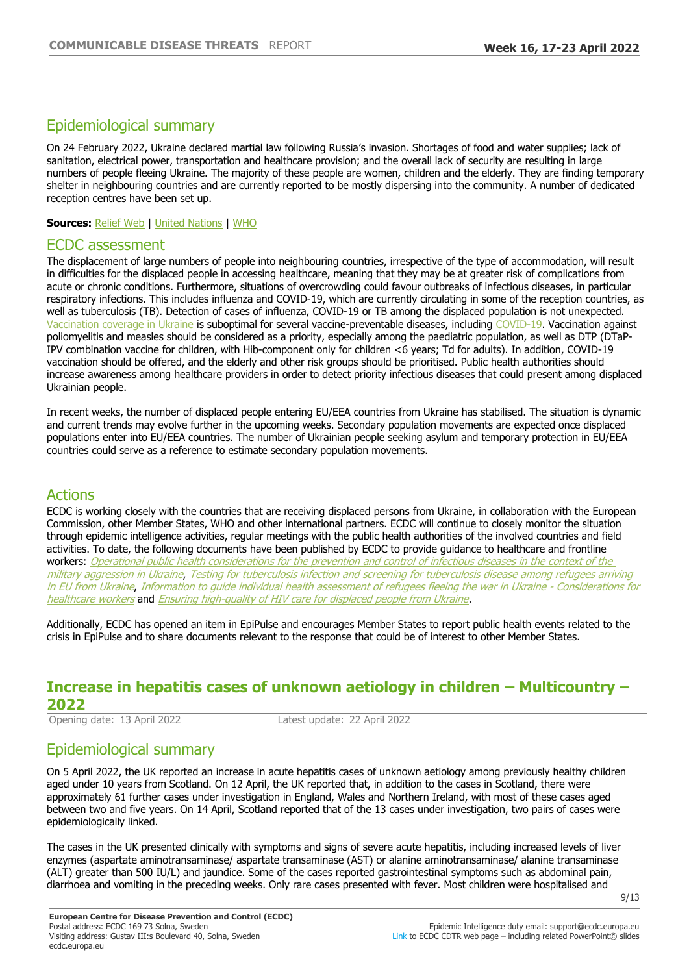## Epidemiological summary

On 24 February 2022, Ukraine declared martial law following Russia's invasion. Shortages of food and water supplies; lack of sanitation, electrical power, transportation and healthcare provision; and the overall lack of security are resulting in large numbers of people fleeing Ukraine. The majority of these people are women, children and the elderly. They are finding temporary shelter in neighbouring countries and are currently reported to be mostly dispersing into the community. A number of dedicated reception centres have been set up.

**Sources:** [Relief Web](https://reliefweb.int/sites/reliefweb.int/files/resources/Ukraine%20Humanitarian%20Impact%20Situation%20Report%202%20March.pdf) | [United Nations](http://data2.unhcr.org/en/situations/ukraine) | [WHO](https://worldhealthorg.shinyapps.io/EURO_COVID-19_vaccine_monitor/)

#### ECDC assessment

The displacement of large numbers of people into neighbouring countries, irrespective of the type of accommodation, will result in difficulties for the displaced people in accessing healthcare, meaning that they may be at greater risk of complications from acute or chronic conditions. Furthermore, situations of overcrowding could favour outbreaks of infectious diseases, in particular respiratory infections. This includes influenza and COVID-19, which are currently circulating in some of the reception countries, as well as tuberculosis (TB). Detection of cases of influenza, COVID-19 or TB among the displaced population is not unexpected. [Vaccination coverage in Ukraine](https://immunizationdata.who.int/listing.html) is suboptimal for several vaccine-preventable diseases, including [COVID-19](https://worldhealthorg.shinyapps.io/EURO_COVID-19_vaccine_monitor/). Vaccination against poliomyelitis and measles should be considered as a priority, especially among the paediatric population, as well as DTP (DTaP-IPV combination vaccine for children, with Hib-component only for children <6 years; Td for adults). In addition, COVID-19 vaccination should be offered, and the elderly and other risk groups should be prioritised. Public health authorities should increase awareness among healthcare providers in order to detect priority infectious diseases that could present among displaced Ukrainian people.

In recent weeks, the number of displaced people entering EU/EEA countries from Ukraine has stabilised. The situation is dynamic and current trends may evolve further in the upcoming weeks. Secondary population movements are expected once displaced populations enter into EU/EEA countries. The number of Ukrainian people seeking asylum and temporary protection in EU/EEA countries could serve as a reference to estimate secondary population movements.

#### Actions

ECDC is working closely with the countries that are receiving displaced persons from Ukraine, in collaboration with the European Commission, other Member States, WHO and other international partners. ECDC will continue to closely monitor the situation through epidemic intelligence activities, regular meetings with the public health authorities of the involved countries and field activities. To date, the following documents have been published by ECDC to provide guidance to healthcare and frontline workers: Operational public health considerations for the prevention and control of infectious diseases in the context of the [military aggression in Ukraine](https://www.ecdc.europa.eu/en/publications-data/operational-public-health-considerations-prevention-and-control-infectious), [Testing for tuberculosis infection and screening for tuberculosis disease among refugees arriving](https://www.ecdc.europa.eu/sites/default/files/documents/ECDC-WHO-information-note-TB-testing-and-screening.pdf)  [in EU from Ukraine](https://www.ecdc.europa.eu/sites/default/files/documents/ECDC-WHO-information-note-TB-testing-and-screening.pdf), [Information to guide individual health assessment of refugees fleeing the war in Ukraine - Considerations for](https://ttt.ecdc.europa.eu/reports/Information%20to%20guide%20individual%20health%20assessment%20of%20refugees%20fleeing%20the%20war%20in%20Ukraine%20-%20Considerations%20for%20healthcare%20workers)  [healthcare workers](https://ttt.ecdc.europa.eu/reports/Information%20to%20guide%20individual%20health%20assessment%20of%20refugees%20fleeing%20the%20war%20in%20Ukraine%20-%20Considerations%20for%20healthcare%20workers) and **[Ensuring high-quality of HIV care for displaced people from Ukraine](https://www.ecdc.europa.eu/en/news-events/ecdceacswho-statement-ensuring-high-quality-hiv-care-displaced-people-ukraine).** 

Additionally, ECDC has opened an item in EpiPulse and encourages Member States to report public health events related to the crisis in EpiPulse and to share documents relevant to the response that could be of interest to other Member States.

# **Increase in hepatitis cases of unknown aetiology in children ±Multicountry ±**

2022<br>Opening date: 13 April 2022

Latest update: 22 April 2022

## Epidemiological summary

On 5 April 2022, the UK reported an increase in acute hepatitis cases of unknown aetiology among previously healthy children aged under 10 years from Scotland. On 12 April, the UK reported that, in addition to the cases in Scotland, there were approximately 61 further cases under investigation in England, Wales and Northern Ireland, with most of these cases aged between two and five years. On 14 April, Scotland reported that of the 13 cases under investigation, two pairs of cases were epidemiologically linked.

The cases in the UK presented clinically with symptoms and signs of severe acute hepatitis, including increased levels of liver enzymes (aspartate aminotransaminase/ aspartate transaminase (AST) or alanine aminotransaminase/ alanine transaminase (ALT) greater than 500 IU/L) and jaundice. Some of the cases reported gastrointestinal symptoms such as abdominal pain, diarrhoea and vomiting in the preceding weeks. Only rare cases presented with fever. Most children were hospitalised and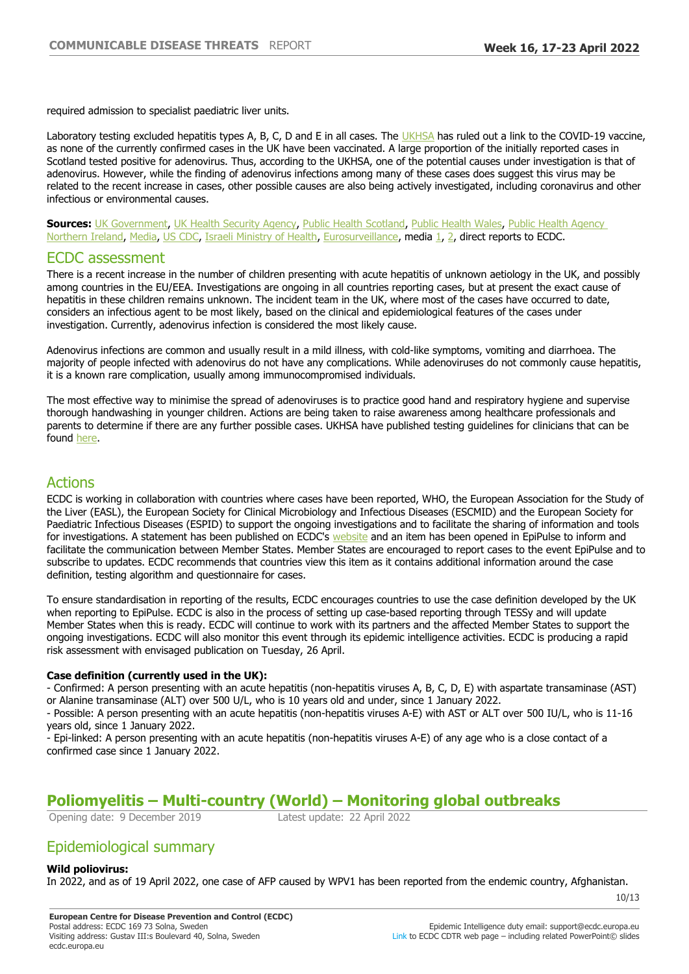required admission to specialist paediatric liver units.

Laboratory testing excluded hepatitis types A, B, C, D and E in all cases. The [UKHSA](https://www.gov.uk/government/news/increase-in-hepatitis-liver-inflammation-cases-in-children-under-investigation) has ruled out a link to the COVID-19 vaccine, as none of the currently confirmed cases in the UK have been vaccinated. A large proportion of the initially reported cases in Scotland tested positive for adenovirus. Thus, according to the UKHSA, one of the potential causes under investigation is that of adenovirus. However, while the finding of adenovirus infections among many of these cases does suggest this virus may be related to the recent increase in cases, other possible causes are also being actively investigated, including coronavirus and other infectious or environmental causes.

**Sources:** [UK Government,](https://www.gov.uk/government/publications/hepatitis-increase-in-acute-cases-of-unknown-aetiology-in-children/increase-in-acute-hepatitis-cases-of-unknown-aetiology-in-children) [UK Health Security Agency](https://eur02.safelinks.protection.outlook.com/?url=https%3A%2F%2Fwww.gov.uk%2Fgovernment%2Fnews%2Fincrease-in-hepatitis-liver-inflammation-cases-in-children-under-investigation&data=04%7C01%7CLina.Nerlander%40ecdc.europa.eu%7C0c670475a1724a0b46b808da197a5ca5%7C6ad73702409c4046ae59cc4bea334507%7C0%7C0%7C637850310571915964%7CUnknown%7CTWFpbGZsb3d8eyJWIjoiMC4wLjAwMDAiLCJQIjoiV2luMzIiLCJBTiI6Ik1haWwiLCJXVCI6Mn0%3D%7C3000&sdata=wQO58ZKpHgb5Ih4s91KmidVAXm7wEm9%2FVGvq0U5Rw%2FQ%3D&reserved=0), [Public Health Scotland](https://eur02.safelinks.protection.outlook.com/?url=https%3A%2F%2Fpublichealthscotland.scot%2Fnews%2F2022%2Fapril%2Fcases-of-non-a-to-e-hepatitis%2F&data=04%7C01%7CLina.Nerlander%40ecdc.europa.eu%7C0c670475a1724a0b46b808da197a5ca5%7C6ad73702409c4046ae59cc4bea334507%7C0%7C0%7C637850310571915964%7CUnknown%7CTWFpbGZsb3d8eyJWIjoiMC4wLjAwMDAiLCJQIjoiV2luMzIiLCJBTiI6Ik1haWwiLCJXVCI6Mn0%3D%7C3000&sdata=IlkG8CWNN0LECvW%2BGQxja%2F9%2Bsf3%2BP3djmHRxcQgBg04%3D&reserved=0), [Public Health Wales,](https://eur02.safelinks.protection.outlook.com/?url=https%3A%2F%2Fphw.nhs.wales%2Fnews%2Fpublic-health-wales-investigating-hepatitis-cases%2F&data=04%7C01%7CLina.Nerlander%40ecdc.europa.eu%7C0c670475a1724a0b46b808da197a5ca5%7C6ad73702409c4046ae59cc4bea334507%7C0%7C0%7C637850310571915964%7CUnknown%7CTWFpbGZsb3d8eyJWIjoiMC4wLjAwMDAiLCJQIjoiV2luMzIiLCJBTiI6Ik1haWwiLCJXVCI6Mn0%3D%7C3000&sdata=a%2BLRRrkFz58CxD%2FJVIBrVm7yfwEI11aVSB90FQEkI2A%3D&reserved=0) Public Health Agency [Northern Ireland,](https://eur02.safelinks.protection.outlook.com/?url=https%3A%2F%2Fwww.publichealth.hscni.net%2Fnews%2Fpublic-health-agency-statement-acute-hepatitis-children&data=04%7C01%7CLina.Nerlander%40ecdc.europa.eu%7C0c670475a1724a0b46b808da197a5ca5%7C6ad73702409c4046ae59cc4bea334507%7C0%7C0%7C637850310571915964%7CUnknown%7CTWFpbGZsb3d8eyJWIjoiMC4wLjAwMDAiLCJQIjoiV2luMzIiLCJBTiI6Ik1haWwiLCJXVCI6Mn0%3D%7C3000&sdata=um4UU%2Be%2B48O15AZsb0poMT7Ym%2BxdUkzi%2Ftu4zWhkiTU%3D&reserved=0) [Media,](https://www.bbc.com/news/health-61025140) [US CDC,](https://www.alabamapublichealth.gov/blog/2022/04/nr15.html) [Israeli Ministry of Health](https://www.gov.il/he/departments/news/19042022-01), [Eurosurveillance](https://www.eurosurveillance.org/content/10.2807/1560-7917.ES.2022.27.15.2200318?emailalert=true), media [1,](https://www.haaretz.com/israel-news/everything-you-need-to-know-about-the-hepatitis-outbreak-among-children-1.10754895) [2,](https://www.statnews.com/2022/04/21/n-c-becomes-second-u-s-state-to-report-unusual-cases-of-hepatitis-in-kids/) direct reports to ECDC.

#### ECDC assessment

There is a recent increase in the number of children presenting with acute hepatitis of unknown aetiology in the UK, and possibly among countries in the EU/EEA. Investigations are ongoing in all countries reporting cases, but at present the exact cause of hepatitis in these children remains unknown. The incident team in the UK, where most of the cases have occurred to date, considers an infectious agent to be most likely, based on the clinical and epidemiological features of the cases under investigation. Currently, adenovirus infection is considered the most likely cause.

Adenovirus infections are common and usually result in a mild illness, with cold-like symptoms, vomiting and diarrhoea. The majority of people infected with adenovirus do not have any complications. While adenoviruses do not commonly cause hepatitis, it is a known rare complication, usually among immunocompromised individuals.

The most effective way to minimise the spread of adenoviruses is to practice good hand and respiratory hygiene and supervise thorough handwashing in younger children. Actions are being taken to raise awareness among healthcare professionals and parents to determine if there are any further possible cases. UKHSA have published testing guidelines for clinicians that can be found [here.](https://gp-website-cdn-prod.s3.amazonaws.com/news-images/1649679961-72c99b95fd94121c2acd01adf53f42da.pdf)

### Actions

ECDC is working in collaboration with countries where cases have been reported, WHO, the European Association for the Study of the Liver (EASL), the European Society for Clinical Microbiology and Infectious Diseases (ESCMID) and the European Society for Paediatric Infectious Diseases (ESPID) to support the ongoing investigations and to facilitate the sharing of information and tools for investigations. A statement has been published on ECDC's [website](https://www.ecdc.europa.eu/en/news-events/update-hepatitis-unknown-origin-children) and an item has been opened in EpiPulse to inform and facilitate the communication between Member States. Member States are encouraged to report cases to the event EpiPulse and to subscribe to updates. ECDC recommends that countries view this item as it contains additional information around the case definition, testing algorithm and questionnaire for cases.

To ensure standardisation in reporting of the results, ECDC encourages countries to use the case definition developed by the UK when reporting to EpiPulse. ECDC is also in the process of setting up case-based reporting through TESSy and will update Member States when this is ready. ECDC will continue to work with its partners and the affected Member States to support the ongoing investigations. ECDC will also monitor this event through its epidemic intelligence activities. ECDC is producing a rapid risk assessment with envisaged publication on Tuesday, 26 April.

#### **Case definition (currently used in the UK):**

- Confirmed: A person presenting with an acute hepatitis (non-hepatitis viruses A, B, C, D, E) with aspartate transaminase (AST) or Alanine transaminase (ALT) over 500 U/L, who is 10 years old and under, since 1 January 2022.

- Possible: A person presenting with an acute hepatitis (non-hepatitis viruses A-E) with AST or ALT over 500 IU/L, who is 11-16 years old, since 1 January 2022.

- Epi-linked: A person presenting with an acute hepatitis (non-hepatitis viruses A-E) of any age who is a close contact of a confirmed case since 1 January 2022.

# **Poliomyelitis — Multi-country (World) — Monitoring global outbreaks**<br>
Opening date: 9 December 2019<br>
Latest update: 22 April 2022

Opening date: 9 December 2019

## Epidemiological summary

#### **Wild poliovirus:**

In 2022, and as of 19 April 2022, one case of AFP caused by WPV1 has been reported from the endemic country, Afghanistan.

10/13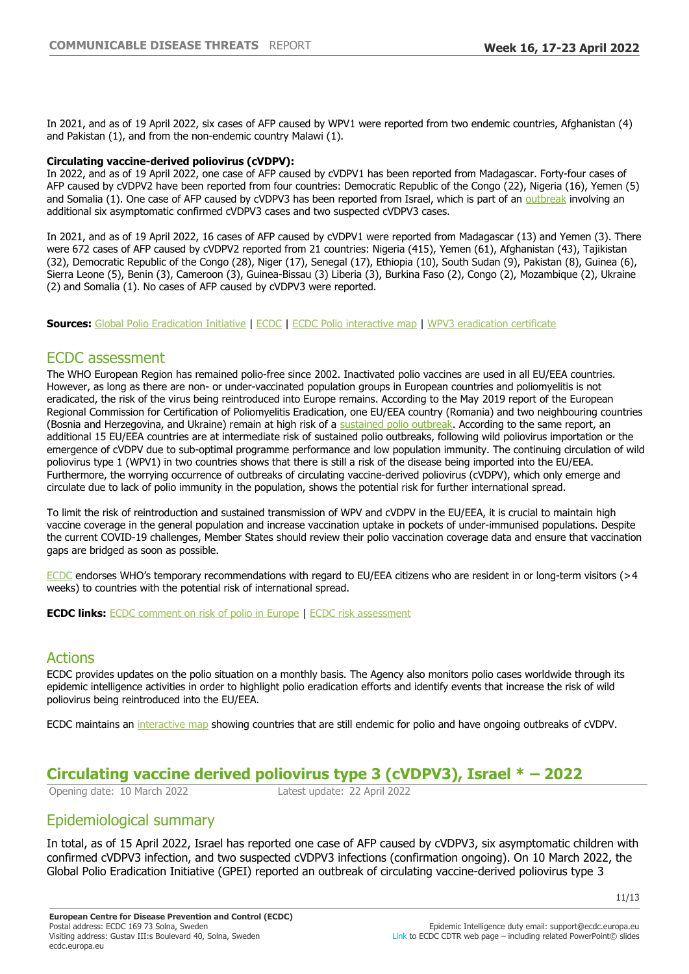In 2021, and as of 19 April 2022, six cases of AFP caused by WPV1 were reported from two endemic countries, Afghanistan (4) and Pakistan (1), and from the non-endemic country Malawi (1).

#### **Circulating vaccine-derived poliovirus (cVDPV):**

In 2022, and as of 19 April 2022, one case of AFP caused by cVDPV1 has been reported from Madagascar. Forty-four cases of AFP caused by cVDPV2 have been reported from four countries: Democratic Republic of the Congo (22), Nigeria (16), Yemen (5) and Somalia (1). One case of AFP caused by cVDPV3 has been reported from Israel, which is part of an [outbreak](https://www.who.int/emergencies/disease-outbreak-news/item/circulating-vaccine-derived-poliovirus-type-3---israel#:~:text=WHO%20was%20notified%20on%207,unvaccinated%20child%20from%20Jerusalem%20city.) involving an additional six asymptomatic confirmed cVDPV3 cases and two suspected cVDPV3 cases.

In 2021, and as of 19 April 2022, 16 cases of AFP caused by cVDPV1 were reported from Madagascar (13) and Yemen (3). There were 672 cases of AFP caused by cVDPV2 reported from 21 countries: Nigeria (415), Yemen (61), Afghanistan (43), Tajikistan (32), Democratic Republic of the Congo (28), Niger (17), Senegal (17), Ethiopia (10), South Sudan (9), Pakistan (8), Guinea (6), Sierra Leone (5), Benin (3), Cameroon (3), Guinea-Bissau (3) Liberia (3), Burkina Faso (2), Congo (2), Mozambique (2), Ukraine (2) and Somalia (1). No cases of AFP caused by cVDPV3 were reported.

**Sources:** [Global Polio Eradication Initiative](http://www.polioeradication.org/polio-today/polio-now/this-week) | [ECDC](http://ecdc.europa.eu/poliomyelitis) | [ECDC Polio interactive map](http://ecdc.europa.eu/publications-data/polio-interactive-map) | [WPV3 eradication certificate](http://polioeradication.org/news-post/two-out-of-three-wild-poliovirus-strains-eradicated/)

#### ECDC assessment

The WHO European Region has remained polio-free since 2002. Inactivated polio vaccines are used in all EU/EEA countries. However, as long as there are non- or under-vaccinated population groups in European countries and poliomyelitis is not eradicated, the risk of the virus being reintroduced into Europe remains. According to the May 2019 report of the European Regional Commission for Certification of Poliomyelitis Eradication, one EU/EEA country (Romania) and two neighbouring countries (Bosnia and Herzegovina, and Ukraine) remain at high risk of a [sustained polio outbreak](http://www.euro.who.int/en/health-topics/communicable-diseases/poliomyelitis/publications/2019/33rd-meeting-of-the-european-regional-commission-for-certification-of-poliomyelitis-eradication-rcc-report-2019). According to the same report, an additional 15 EU/EEA countries are at intermediate risk of sustained polio outbreaks, following wild poliovirus importation or the emergence of cVDPV due to sub-optimal programme performance and low population immunity. The continuing circulation of wild poliovirus type 1 (WPV1) in two countries shows that there is still a risk of the disease being imported into the EU/EEA. Furthermore, the worrying occurrence of outbreaks of circulating vaccine-derived poliovirus (cVDPV), which only emerge and circulate due to lack of polio immunity in the population, shows the potential risk for further international spread.

To limit the risk of reintroduction and sustained transmission of WPV and cVDPV in the EU/EEA, it is crucial to maintain high vaccine coverage in the general population and increase vaccination uptake in pockets of under-immunised populations. Despite the current COVID-19 challenges, Member States should review their polio vaccination coverage data and ensure that vaccination gaps are bridged as soon as possible.

[ECDC](https://www.ecdc.europa.eu/sites/portal/files/media/en/publications/Publications/Polio-risk-assessment-may-2014.pdf) endorses WHO's temporary recommendations with regard to EU/EEA citizens who are resident in or long-term visitors (>4 weeks) to countries with the potential risk of international spread.

**ECDC links:** [ECDC comment on risk of polio in Europe](http://ecdc.europa.eu/news-events/conclusions-twentieth-ihr-emergency-committee-do-not-change-ecdc-risk-assessment-europe) | [ECDC risk assessment](http://ecdc.europa.eu/publications-data/rapid-risk-assessment-international-spread-wild-type-poliovirus-2014-declared)

## Actions

ECDC provides updates on the polio situation on a monthly basis. The Agency also monitors polio cases worldwide through its epidemic intelligence activities in order to highlight polio eradication efforts and identify events that increase the risk of wild poliovirus being reintroduced into the EU/EEA.

ECDC maintains an [interactive map](https://www.ecdc.europa.eu/en/publications-data/polio-interactive-map) showing countries that are still endemic for polio and have ongoing outbreaks of cVDPV.

## **Circulating vaccine derived poliovirus type 3 (cVDPV3), Israel \* ±**

Opening date: 10 March 2022 Latest update: 22 April 2022

## Epidemiological summary

In total, as of 15 April 2022, Israel has reported one case of AFP caused by cVDPV3, six asymptomatic children with confirmed cVDPV3 infection, and two suspected cVDPV3 infections (confirmation ongoing). On 10 March 2022, the Global Polio Eradication Initiative (GPEI) reported an outbreak of circulating vaccine-derived poliovirus type 3

11/13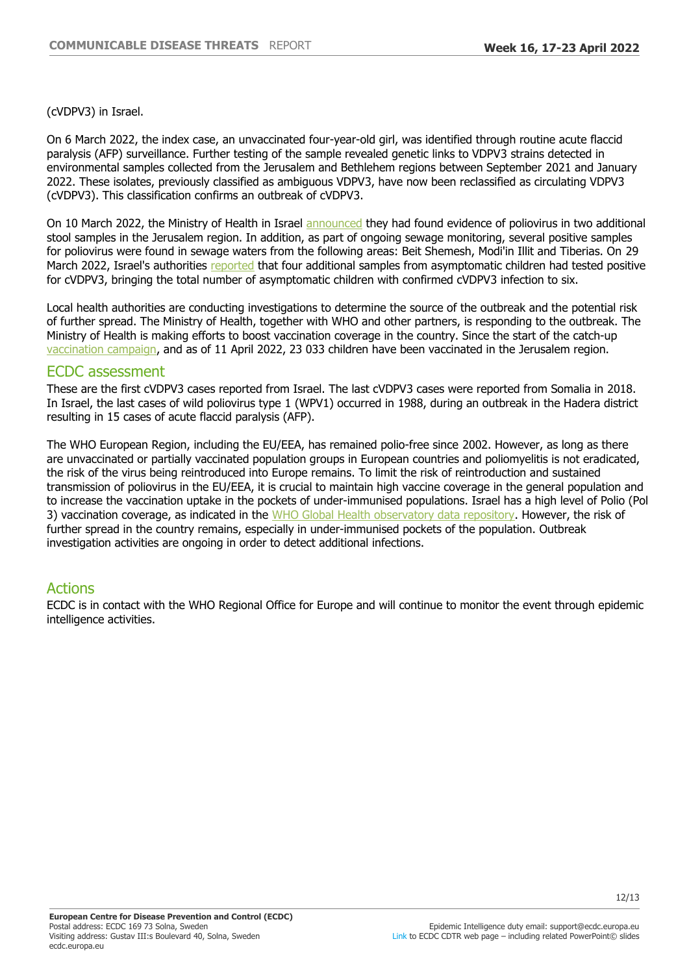(cVDPV3) in Israel.

On 6 March 2022, the index case, an unvaccinated four-year-old girl, was identified through routine acute flaccid paralysis (AFP) surveillance. Further testing of the sample revealed genetic links to VDPV3 strains detected in environmental samples collected from the Jerusalem and Bethlehem regions between September 2021 and January 2022. These isolates, previously classified as ambiguous VDPV3, have now been reclassified as circulating VDPV3 (cVDPV3). This classification confirms an outbreak of cVDPV3.

On 10 March 2022, the Ministry of Health in Israel [announced](https://www.gov.il/he/departments/news/10032022-01) they had found evidence of poliovirus in two additional stool samples in the Jerusalem region. In addition, as part of ongoing sewage monitoring, several positive samples for poliovirus were found in sewage waters from the following areas: Beit Shemesh, Modi'in Illit and Tiberias. On 29 March 2022, Israel's authorities [reported](https://www.gov.il/he/departments/news/29032022-01) that four additional samples from asymptomatic children had tested positive for cVDPV3, bringing the total number of asymptomatic children with confirmed cVDPV3 infection to six.

Local health authorities are conducting investigations to determine the source of the outbreak and the potential risk of further spread. The Ministry of Health, together with WHO and other partners, is responding to the outbreak. The Ministry of Health is making efforts to boost vaccination coverage in the country. Since the start of the catch-up [vaccination campaign](https://twitter.com/IsraelMOH/status/1513498812354072576), and as of 11 April 2022, 23 033 children have been vaccinated in the Jerusalem region.

#### ECDC assessment

These are the first cVDPV3 cases reported from Israel. The last cVDPV3 cases were reported from Somalia in 2018. In Israel, the last cases of wild poliovirus type 1 (WPV1) occurred in 1988, during an outbreak in the Hadera district resulting in 15 cases of acute flaccid paralysis (AFP).

The WHO European Region, including the EU/EEA, has remained polio-free since 2002. However, as long as there are unvaccinated or partially vaccinated population groups in European countries and poliomyelitis is not eradicated, the risk of the virus being reintroduced into Europe remains. To limit the risk of reintroduction and sustained transmission of poliovirus in the EU/EEA, it is crucial to maintain high vaccine coverage in the general population and to increase the vaccination uptake in the pockets of under-immunised populations. Israel has a high level of Polio (Pol 3) vaccination coverage, as indicated in the [WHO Global Health observatory data repository.](https://apps.who.int/gho/data/view.main.80601?lang=en) However, the risk of further spread in the country remains, especially in under-immunised pockets of the population. Outbreak investigation activities are ongoing in order to detect additional infections.

## Actions

ECDC is in contact with the WHO Regional Office for Europe and will continue to monitor the event through epidemic intelligence activities.